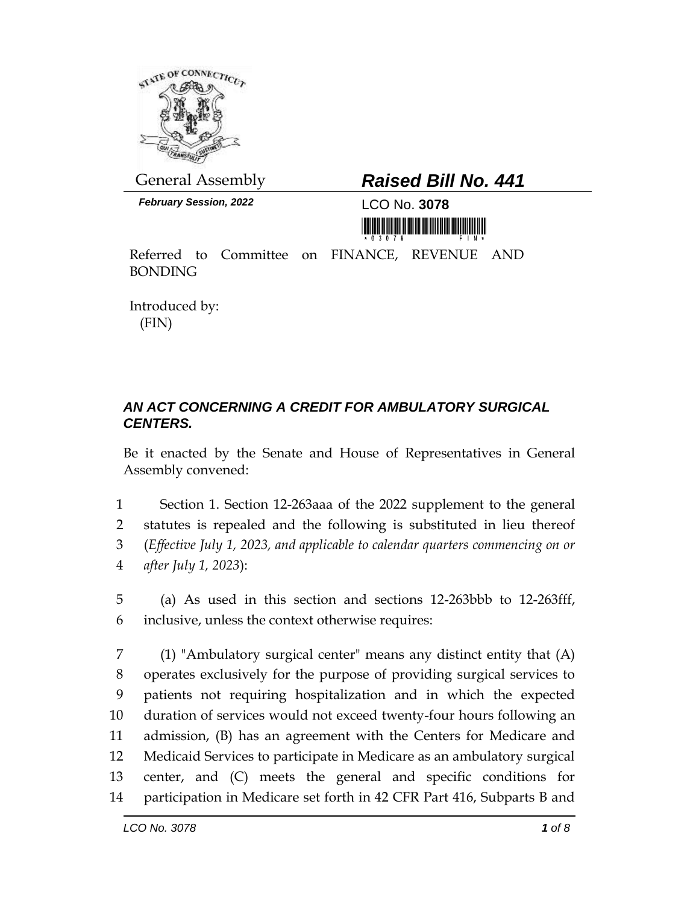

*February Session, 2022* LCO No. **3078**

## General Assembly *Raised Bill No. 441*

<u> 1999 - Johann Barnett, fransk politik (</u>

Referred to Committee on FINANCE, REVENUE AND BONDING

Introduced by: (FIN)

## *AN ACT CONCERNING A CREDIT FOR AMBULATORY SURGICAL CENTERS.*

Be it enacted by the Senate and House of Representatives in General Assembly convened:

 Section 1. Section 12-263aaa of the 2022 supplement to the general statutes is repealed and the following is substituted in lieu thereof (*Effective July 1, 2023, and applicable to calendar quarters commencing on or after July 1, 2023*):

5 (a) As used in this section and sections 12-263bbb to 12-263fff, 6 inclusive, unless the context otherwise requires:

 (1) "Ambulatory surgical center" means any distinct entity that (A) operates exclusively for the purpose of providing surgical services to patients not requiring hospitalization and in which the expected duration of services would not exceed twenty-four hours following an admission, (B) has an agreement with the Centers for Medicare and Medicaid Services to participate in Medicare as an ambulatory surgical center, and (C) meets the general and specific conditions for participation in Medicare set forth in 42 CFR Part 416, Subparts B and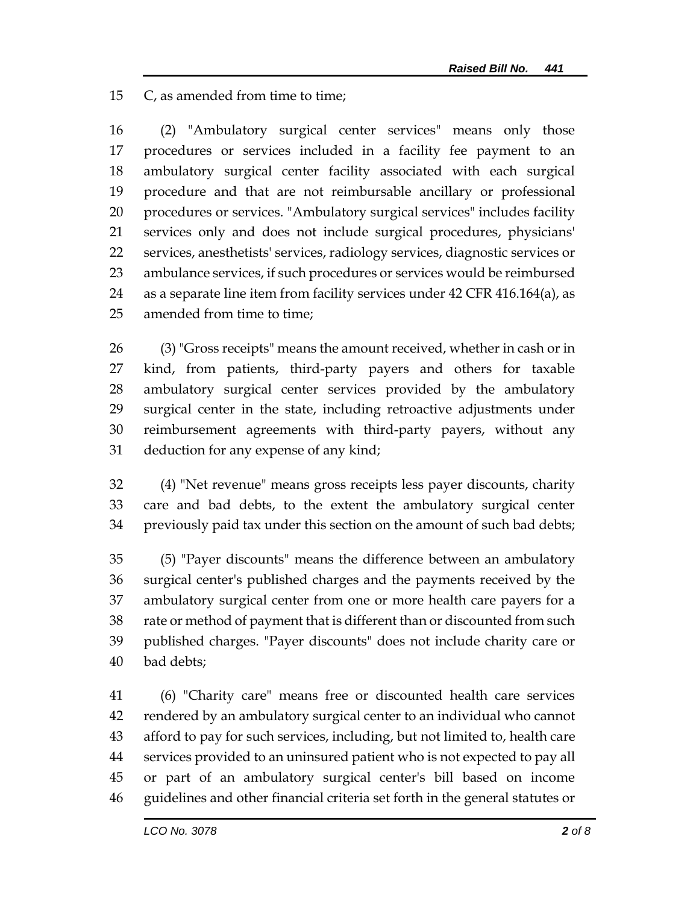C, as amended from time to time;

 (2) "Ambulatory surgical center services" means only those procedures or services included in a facility fee payment to an ambulatory surgical center facility associated with each surgical procedure and that are not reimbursable ancillary or professional procedures or services. "Ambulatory surgical services" includes facility services only and does not include surgical procedures, physicians' services, anesthetists' services, radiology services, diagnostic services or ambulance services, if such procedures or services would be reimbursed as a separate line item from facility services under 42 CFR 416.164(a), as amended from time to time;

 (3) "Gross receipts" means the amount received, whether in cash or in kind, from patients, third-party payers and others for taxable ambulatory surgical center services provided by the ambulatory surgical center in the state, including retroactive adjustments under reimbursement agreements with third-party payers, without any deduction for any expense of any kind;

 (4) "Net revenue" means gross receipts less payer discounts, charity care and bad debts, to the extent the ambulatory surgical center previously paid tax under this section on the amount of such bad debts;

 (5) "Payer discounts" means the difference between an ambulatory surgical center's published charges and the payments received by the ambulatory surgical center from one or more health care payers for a rate or method of payment that is different than or discounted from such published charges. "Payer discounts" does not include charity care or bad debts;

 (6) "Charity care" means free or discounted health care services rendered by an ambulatory surgical center to an individual who cannot afford to pay for such services, including, but not limited to, health care services provided to an uninsured patient who is not expected to pay all or part of an ambulatory surgical center's bill based on income guidelines and other financial criteria set forth in the general statutes or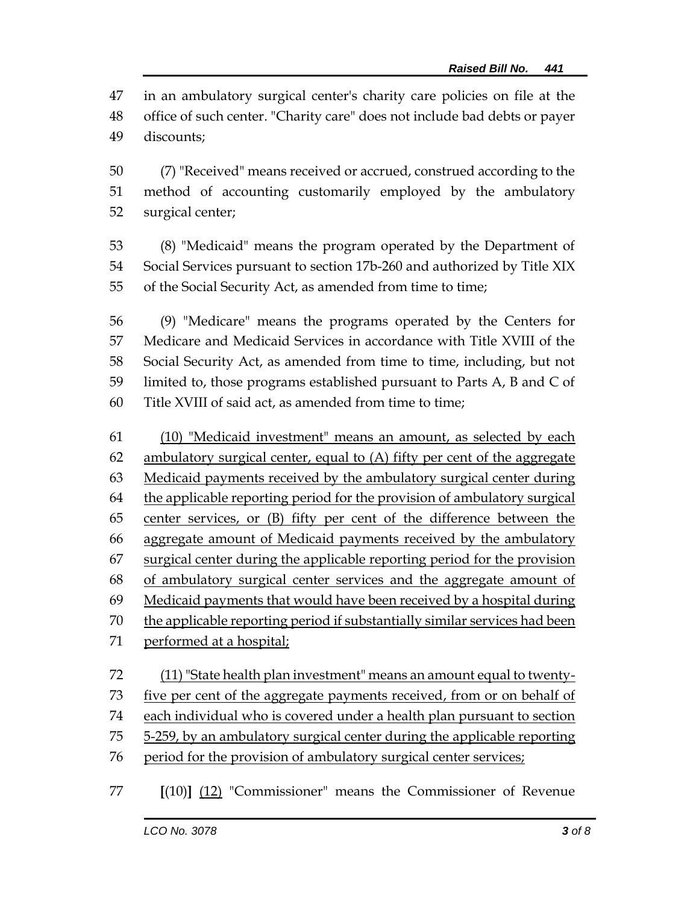in an ambulatory surgical center's charity care policies on file at the office of such center. "Charity care" does not include bad debts or payer discounts;

 (7) "Received" means received or accrued, construed according to the method of accounting customarily employed by the ambulatory surgical center;

 (8) "Medicaid" means the program operated by the Department of Social Services pursuant to section 17b-260 and authorized by Title XIX of the Social Security Act, as amended from time to time;

 (9) "Medicare" means the programs operated by the Centers for Medicare and Medicaid Services in accordance with Title XVIII of the Social Security Act, as amended from time to time, including, but not limited to, those programs established pursuant to Parts A, B and C of Title XVIII of said act, as amended from time to time;

 (10) "Medicaid investment" means an amount, as selected by each ambulatory surgical center, equal to (A) fifty per cent of the aggregate Medicaid payments received by the ambulatory surgical center during 64 the applicable reporting period for the provision of ambulatory surgical center services, or (B) fifty per cent of the difference between the aggregate amount of Medicaid payments received by the ambulatory surgical center during the applicable reporting period for the provision of ambulatory surgical center services and the aggregate amount of Medicaid payments that would have been received by a hospital during the applicable reporting period if substantially similar services had been performed at a hospital; 72 (11) "State health plan investment" means an amount equal to twenty-

73 five per cent of the aggregate payments received, from or on behalf of

each individual who is covered under a health plan pursuant to section

5-259, by an ambulatory surgical center during the applicable reporting

76 period for the provision of ambulatory surgical center services;

**[**(10)**]** (12) "Commissioner" means the Commissioner of Revenue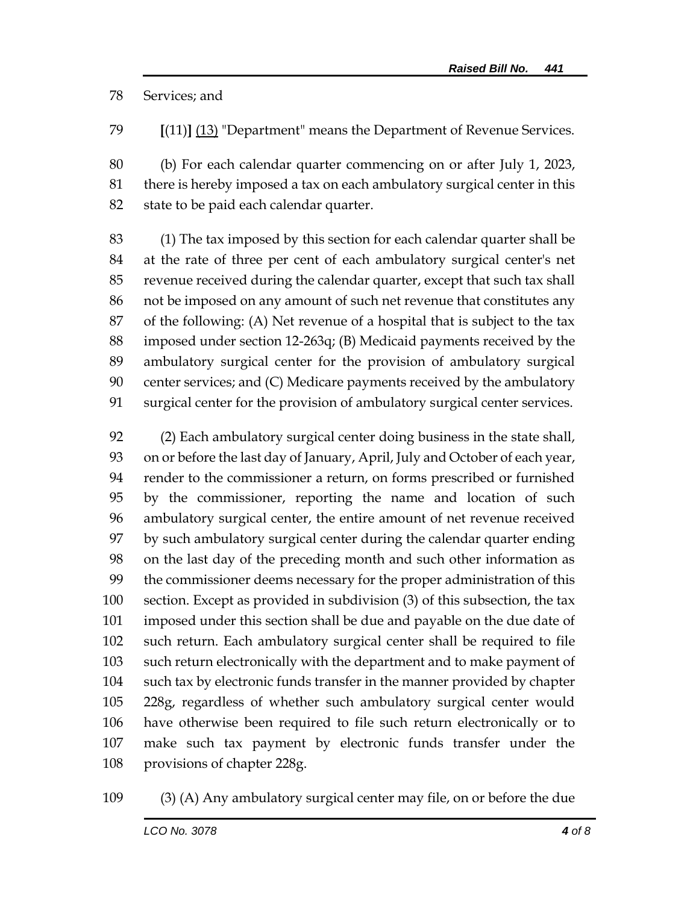Services; and

**[**(11)**]** (13) "Department" means the Department of Revenue Services.

 (b) For each calendar quarter commencing on or after July 1, 2023, there is hereby imposed a tax on each ambulatory surgical center in this state to be paid each calendar quarter.

 (1) The tax imposed by this section for each calendar quarter shall be at the rate of three per cent of each ambulatory surgical center's net revenue received during the calendar quarter, except that such tax shall not be imposed on any amount of such net revenue that constitutes any of the following: (A) Net revenue of a hospital that is subject to the tax imposed under section 12-263q; (B) Medicaid payments received by the ambulatory surgical center for the provision of ambulatory surgical center services; and (C) Medicare payments received by the ambulatory surgical center for the provision of ambulatory surgical center services.

 (2) Each ambulatory surgical center doing business in the state shall, on or before the last day of January, April, July and October of each year, render to the commissioner a return, on forms prescribed or furnished by the commissioner, reporting the name and location of such ambulatory surgical center, the entire amount of net revenue received by such ambulatory surgical center during the calendar quarter ending on the last day of the preceding month and such other information as the commissioner deems necessary for the proper administration of this section. Except as provided in subdivision (3) of this subsection, the tax imposed under this section shall be due and payable on the due date of such return. Each ambulatory surgical center shall be required to file such return electronically with the department and to make payment of such tax by electronic funds transfer in the manner provided by chapter 228g, regardless of whether such ambulatory surgical center would have otherwise been required to file such return electronically or to make such tax payment by electronic funds transfer under the provisions of chapter 228g.

(3) (A) Any ambulatory surgical center may file, on or before the due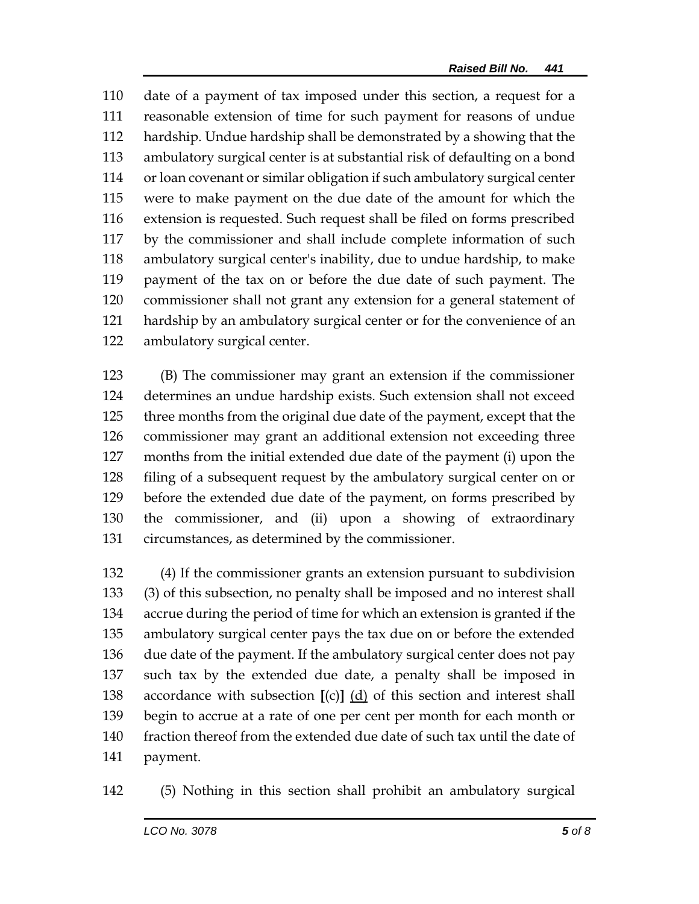date of a payment of tax imposed under this section, a request for a reasonable extension of time for such payment for reasons of undue hardship. Undue hardship shall be demonstrated by a showing that the ambulatory surgical center is at substantial risk of defaulting on a bond or loan covenant or similar obligation if such ambulatory surgical center were to make payment on the due date of the amount for which the extension is requested. Such request shall be filed on forms prescribed by the commissioner and shall include complete information of such ambulatory surgical center's inability, due to undue hardship, to make payment of the tax on or before the due date of such payment. The commissioner shall not grant any extension for a general statement of hardship by an ambulatory surgical center or for the convenience of an ambulatory surgical center.

 (B) The commissioner may grant an extension if the commissioner determines an undue hardship exists. Such extension shall not exceed three months from the original due date of the payment, except that the commissioner may grant an additional extension not exceeding three months from the initial extended due date of the payment (i) upon the filing of a subsequent request by the ambulatory surgical center on or before the extended due date of the payment, on forms prescribed by the commissioner, and (ii) upon a showing of extraordinary circumstances, as determined by the commissioner.

 (4) If the commissioner grants an extension pursuant to subdivision (3) of this subsection, no penalty shall be imposed and no interest shall accrue during the period of time for which an extension is granted if the ambulatory surgical center pays the tax due on or before the extended due date of the payment. If the ambulatory surgical center does not pay such tax by the extended due date, a penalty shall be imposed in accordance with subsection **[**(c)**]** (d) of this section and interest shall begin to accrue at a rate of one per cent per month for each month or fraction thereof from the extended due date of such tax until the date of payment.

(5) Nothing in this section shall prohibit an ambulatory surgical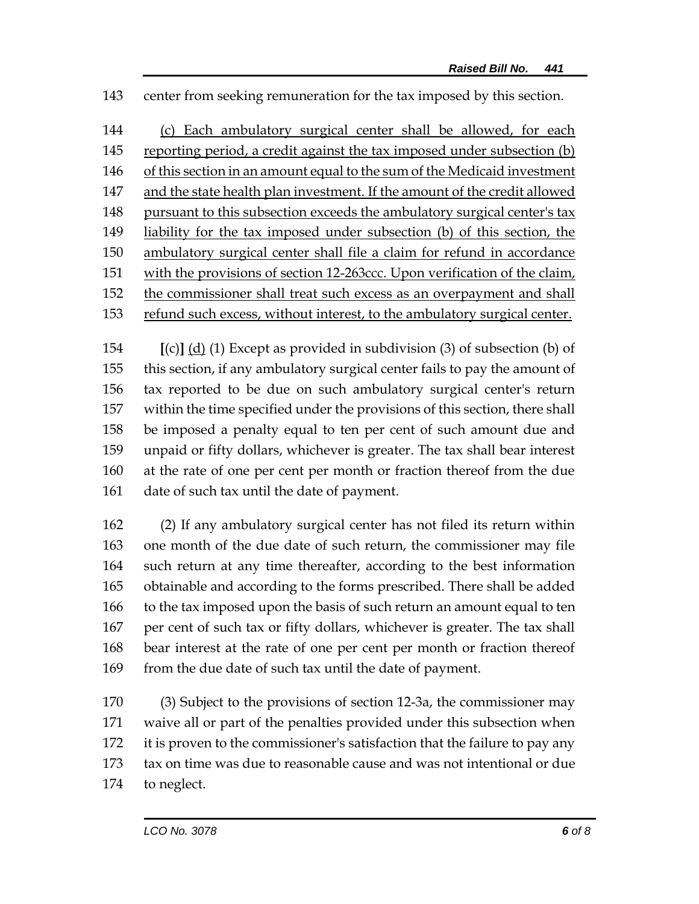center from seeking remuneration for the tax imposed by this section.

144 (c) Each ambulatory surgical center shall be allowed, for each reporting period, a credit against the tax imposed under subsection (b) of this section in an amount equal to the sum of the Medicaid investment and the state health plan investment. If the amount of the credit allowed pursuant to this subsection exceeds the ambulatory surgical center's tax 149 liability for the tax imposed under subsection (b) of this section, the ambulatory surgical center shall file a claim for refund in accordance with the provisions of section 12-263ccc. Upon verification of the claim, the commissioner shall treat such excess as an overpayment and shall refund such excess, without interest, to the ambulatory surgical center.

 **[**(c)**]** (d) (1) Except as provided in subdivision (3) of subsection (b) of this section, if any ambulatory surgical center fails to pay the amount of tax reported to be due on such ambulatory surgical center's return within the time specified under the provisions of this section, there shall be imposed a penalty equal to ten per cent of such amount due and unpaid or fifty dollars, whichever is greater. The tax shall bear interest at the rate of one per cent per month or fraction thereof from the due date of such tax until the date of payment.

 (2) If any ambulatory surgical center has not filed its return within one month of the due date of such return, the commissioner may file such return at any time thereafter, according to the best information obtainable and according to the forms prescribed. There shall be added to the tax imposed upon the basis of such return an amount equal to ten per cent of such tax or fifty dollars, whichever is greater. The tax shall bear interest at the rate of one per cent per month or fraction thereof 169 from the due date of such tax until the date of payment.

 (3) Subject to the provisions of section 12-3a, the commissioner may waive all or part of the penalties provided under this subsection when it is proven to the commissioner's satisfaction that the failure to pay any tax on time was due to reasonable cause and was not intentional or due to neglect.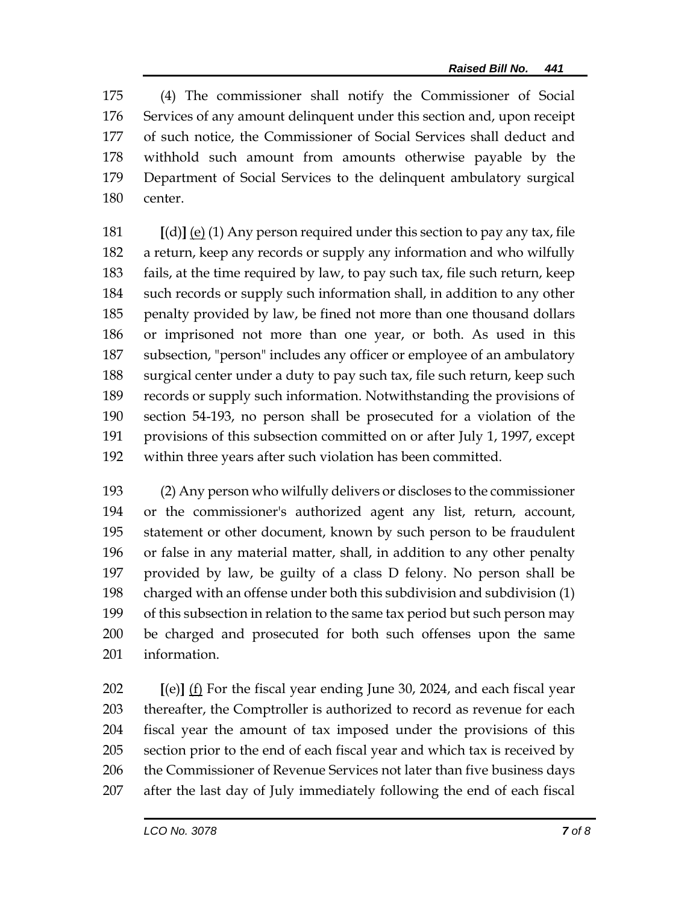(4) The commissioner shall notify the Commissioner of Social Services of any amount delinquent under this section and, upon receipt of such notice, the Commissioner of Social Services shall deduct and withhold such amount from amounts otherwise payable by the Department of Social Services to the delinquent ambulatory surgical center.

 **[**(d)**]** (e) (1) Any person required under this section to pay any tax, file a return, keep any records or supply any information and who wilfully fails, at the time required by law, to pay such tax, file such return, keep such records or supply such information shall, in addition to any other penalty provided by law, be fined not more than one thousand dollars or imprisoned not more than one year, or both. As used in this subsection, "person" includes any officer or employee of an ambulatory surgical center under a duty to pay such tax, file such return, keep such records or supply such information. Notwithstanding the provisions of section 54-193, no person shall be prosecuted for a violation of the provisions of this subsection committed on or after July 1, 1997, except within three years after such violation has been committed.

 (2) Any person who wilfully delivers or discloses to the commissioner or the commissioner's authorized agent any list, return, account, statement or other document, known by such person to be fraudulent or false in any material matter, shall, in addition to any other penalty provided by law, be guilty of a class D felony. No person shall be charged with an offense under both this subdivision and subdivision (1) of this subsection in relation to the same tax period but such person may be charged and prosecuted for both such offenses upon the same information.

 **[**(e)**]** (f) For the fiscal year ending June 30, 2024, and each fiscal year thereafter, the Comptroller is authorized to record as revenue for each fiscal year the amount of tax imposed under the provisions of this section prior to the end of each fiscal year and which tax is received by 206 the Commissioner of Revenue Services not later than five business days after the last day of July immediately following the end of each fiscal